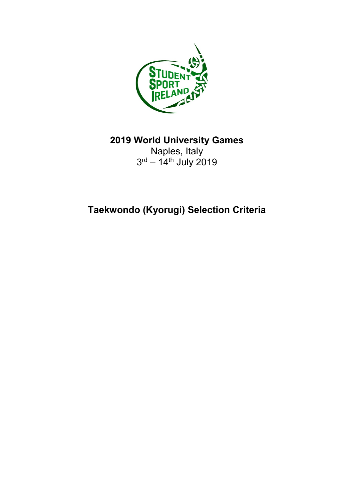

**2019 World University Games**

Naples, Italy 3<sup>rd</sup> – 14<sup>th</sup> July 2019

**Taekwondo (Kyorugi) Selection Criteria**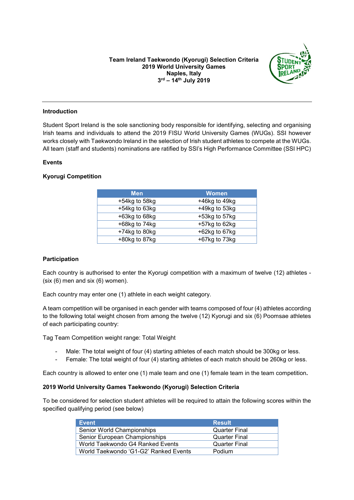

## **Introduction**

Student Sport Ireland is the sole sanctioning body responsible for identifying, selecting and organising Irish teams and individuals to attend the 2019 FISU World University Games (WUGs). SSI however works closely with Taekwondo Ireland in the selection of Irish student athletes to compete at the WUGs. All team (staff and students) nominations are ratified by SSI's High Performance Committee (SSI HPC)

## **Events**

# **Kyorugi Competition**

| <b>Men</b>          | <b>Women</b>        |
|---------------------|---------------------|
| $+54$ kg to $58$ kg | $+46$ kg to $49$ kg |
| $+54$ kg to 63kg    | $+49$ kg to 53kg    |
| +63kg to 68kg       | $+53$ kg to 57 $kg$ |
| $+68$ kg to $74$ kg | $+57$ kg to 62kg    |
| $+74$ kg to 80kg    | $+62$ kg to 67 $kg$ |
| $+80$ kg to 87 $kg$ | $+67$ kg to $73$ kg |

### **Participation**

Each country is authorised to enter the Kyorugi competition with a maximum of twelve (12) athletes - (six (6) men and six (6) women).

Each country may enter one (1) athlete in each weight category.

A team competition will be organised in each gender with teams composed of four (4) athletes according to the following total weight chosen from among the twelve (12) Kyorugi and six (6) Poomsae athletes of each participating country:

Tag Team Competition weight range: Total Weight

- Male: The total weight of four (4) starting athletes of each match should be 300kg or less.
- Female: The total weight of four (4) starting athletes of each match should be 260kg or less.

Each country is allowed to enter one (1) male team and one (1) female team in the team competition**.**

# **2019 World University Games Taekwondo (Kyorugi) Selection Criteria**

To be considered for selection student athletes will be required to attain the following scores within the specified qualifying period (see below)

| <b>Event</b>                          | <b>Result</b>        |
|---------------------------------------|----------------------|
| Senior World Championships            | <b>Quarter Final</b> |
| Senior European Championships         | <b>Quarter Final</b> |
| World Taekwondo G4 Ranked Events      | <b>Quarter Final</b> |
| World Taekwondo 'G1-G2' Ranked Events | Podium               |